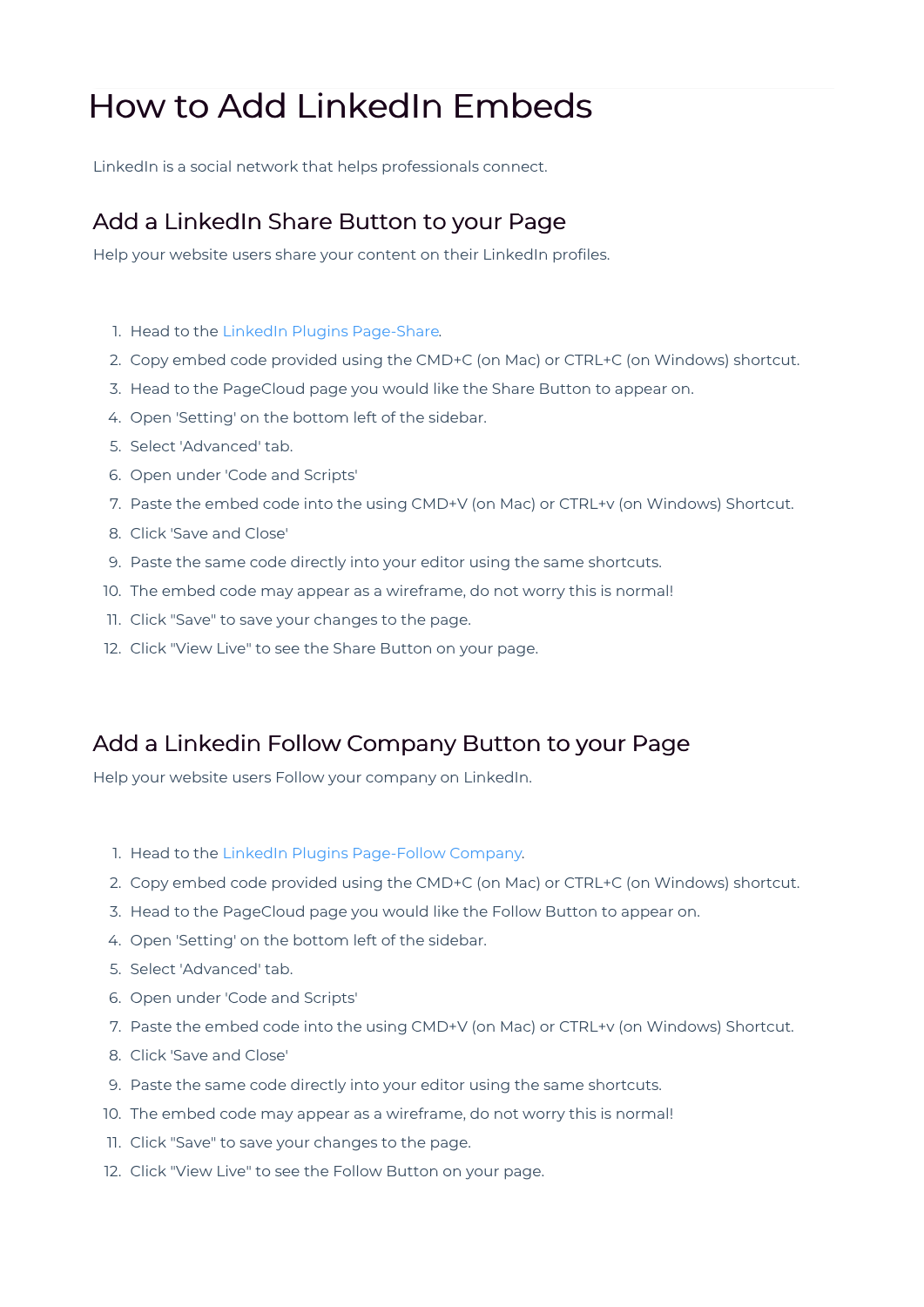## How to Add LinkedIn Embeds

LinkedIn is a social network that helps professionals connect.

## Add a LinkedIn Share Button to your Page

Help your website users share your content on their LinkedIn profiles.

- 1. Head to the LinkedIn Plugins Page-Share.
- 2. Copy embed code provided using the CMD+C (on Mac) or CTRL+C (on Windows) shortcut.
- 3. Head to the PageCloud page you would like the Share Button to appear on.
- 4. Open 'Setting' on the bottom left of the sidebar.
- 5. Select 'Advanced' tab.
- 6. Open under 'Code and Scripts'
- 7. Paste the embed code into the using CMD+V (on Mac) or CTRL+v (on Windows) Shortcut.
- 8. Click 'Save and Close'
- 9. Paste the same code directly into your editor using the same shortcuts.
- 10. The embed code may appear as a wireframe, do not worry this is normal!
- 11. Click "Save" to save your changes to the page.
- 12. Click "View Live" to see the Share Button on your page.

## Add a Linkedin Follow Company Button to your Page

Help your website users Follow your company on LinkedIn.

- 1. Head to the LinkedIn Plugins Page-Follow Company.
- 2. Copy embed code provided using the CMD+C (on Mac) or CTRL+C (on Windows) shortcut.
- 3. Head to the PageCloud page you would like the Follow Button to appear on.
- 4. Open 'Setting' on the bottom left of the sidebar.
- 5. Select 'Advanced' tab.
- 6. Open under 'Code and Scripts'
- 7. Paste the embed code into the using CMD+V (on Mac) or CTRL+v (on Windows) Shortcut.
- 8. Click 'Save and Close'
- 9. Paste the same code directly into your editor using the same shortcuts.
- 10. The embed code may appear as a wireframe, do not worry this is normal!
- 11. Click "Save" to save your changes to the page.
- 12. Click "View Live" to see the Follow Button on your page.